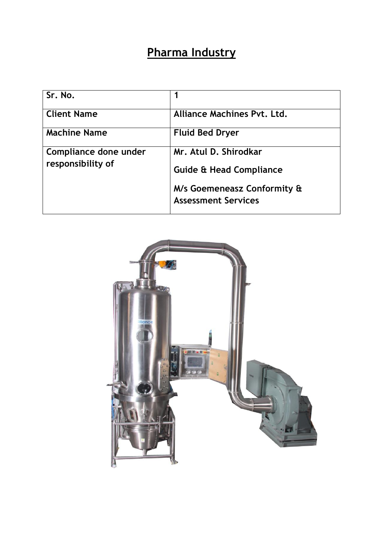## **Pharma Industry**

| Sr. No.                                    |                                                           |
|--------------------------------------------|-----------------------------------------------------------|
| <b>Client Name</b>                         | Alliance Machines Pvt. Ltd.                               |
| <b>Machine Name</b>                        | <b>Fluid Bed Dryer</b>                                    |
| Compliance done under<br>responsibility of | Mr. Atul D. Shirodkar                                     |
|                                            | <b>Guide &amp; Head Compliance</b>                        |
|                                            | M/s Goemeneasz Conformity &<br><b>Assessment Services</b> |

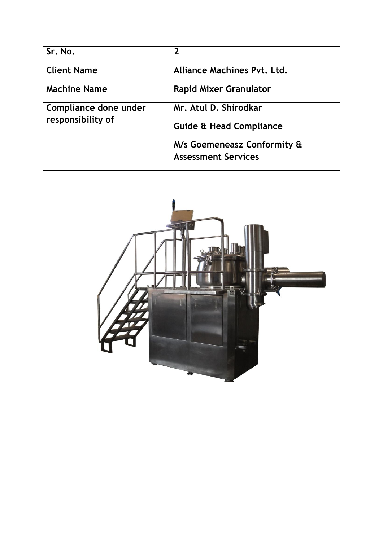| Sr. No.                                    | $\overline{2}$                                            |
|--------------------------------------------|-----------------------------------------------------------|
| <b>Client Name</b>                         | <b>Alliance Machines Pyt. Ltd.</b>                        |
| <b>Machine Name</b>                        | <b>Rapid Mixer Granulator</b>                             |
| Compliance done under<br>responsibility of | Mr. Atul D. Shirodkar                                     |
|                                            | <b>Guide &amp; Head Compliance</b>                        |
|                                            | M/s Goemeneasz Conformity &<br><b>Assessment Services</b> |

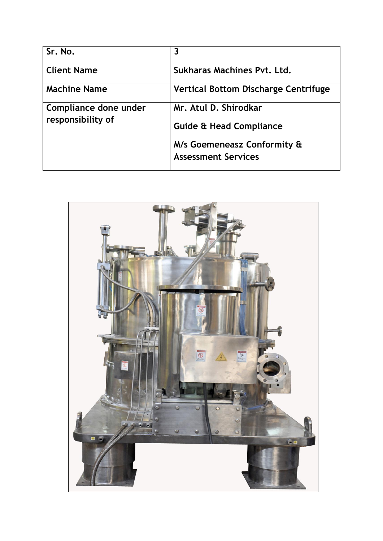| Sr. No.                                    | 3                                                         |
|--------------------------------------------|-----------------------------------------------------------|
| <b>Client Name</b>                         | Sukharas Machines Pyt. Ltd.                               |
| <b>Machine Name</b>                        | <b>Vertical Bottom Discharge Centrifuge</b>               |
| Compliance done under<br>responsibility of | Mr. Atul D. Shirodkar                                     |
|                                            | <b>Guide &amp; Head Compliance</b>                        |
|                                            | M/s Goemeneasz Conformity &<br><b>Assessment Services</b> |

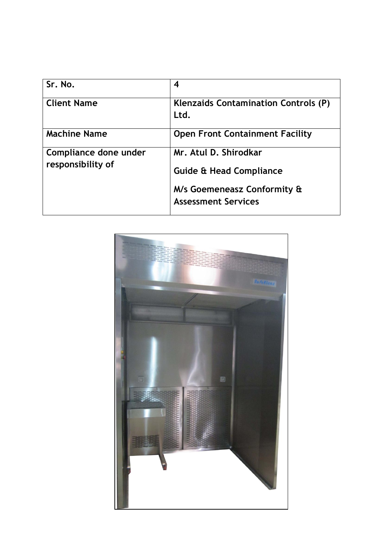| Sr. No.                                    | 4                                                         |
|--------------------------------------------|-----------------------------------------------------------|
| <b>Client Name</b>                         | <b>Klenzaids Contamination Controls (P)</b><br>Ltd.       |
| <b>Machine Name</b>                        | <b>Open Front Containment Facility</b>                    |
| Compliance done under<br>responsibility of | Mr. Atul D. Shirodkar                                     |
|                                            | <b>Guide &amp; Head Compliance</b>                        |
|                                            | M/s Goemeneasz Conformity &<br><b>Assessment Services</b> |

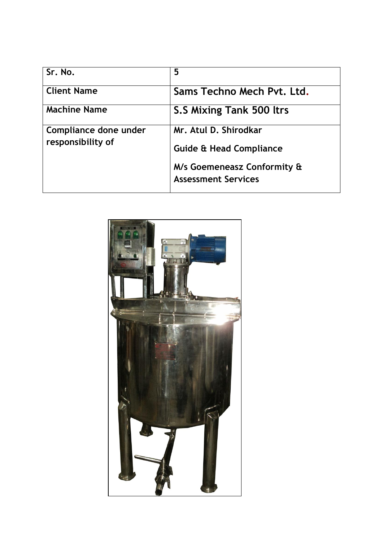| Sr. No.                                    | 5                                                         |
|--------------------------------------------|-----------------------------------------------------------|
| <b>Client Name</b>                         | Sams Techno Mech Pyt. Ltd.                                |
| <b>Machine Name</b>                        | <b>S.S Mixing Tank 500 ltrs</b>                           |
| Compliance done under<br>responsibility of | Mr. Atul D. Shirodkar                                     |
|                                            | <b>Guide &amp; Head Compliance</b>                        |
|                                            | M/s Goemeneasz Conformity &<br><b>Assessment Services</b> |

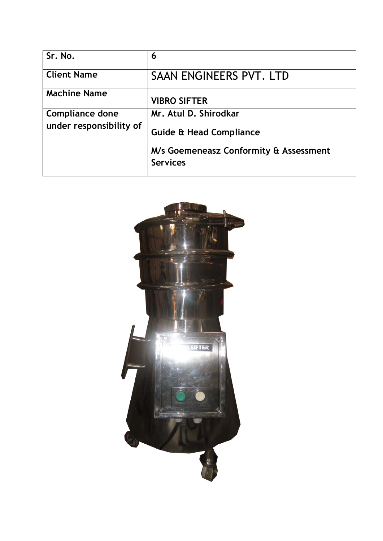| Sr. No.                 | 6                                                         |
|-------------------------|-----------------------------------------------------------|
| <b>Client Name</b>      | SAAN ENGINEERS PVT. LTD                                   |
| <b>Machine Name</b>     | <b>VIBRO SIFTER</b>                                       |
| <b>Compliance done</b>  | Mr. Atul D. Shirodkar                                     |
| under responsibility of | <b>Guide &amp; Head Compliance</b>                        |
|                         | M/s Goemeneasz Conformity & Assessment<br><b>Services</b> |

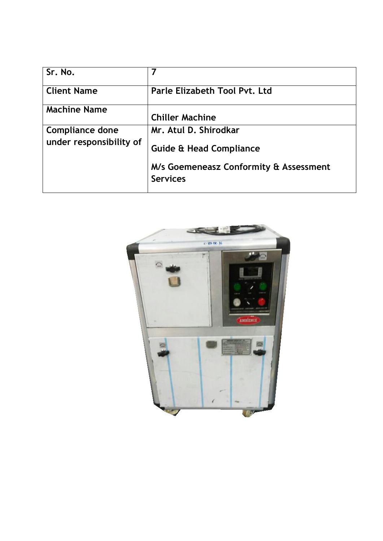| 7                                                         |
|-----------------------------------------------------------|
| Parle Elizabeth Tool Pvt. Ltd                             |
| <b>Chiller Machine</b>                                    |
| Mr. Atul D. Shirodkar                                     |
| <b>Guide &amp; Head Compliance</b>                        |
| M/s Goemeneasz Conformity & Assessment<br><b>Services</b> |
|                                                           |